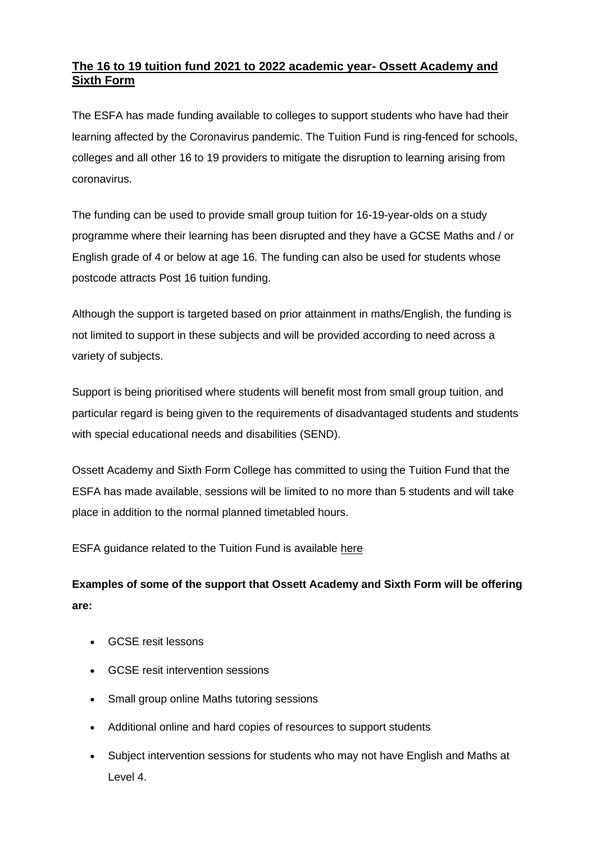## **The 16 to 19 tuition fund 2021 to 2022 academic year- Ossett Academy and Sixth Form**

The ESFA has made funding available to colleges to support students who have had their learning affected by the Coronavirus pandemic. The Tuition Fund is ring-fenced for schools, colleges and all other 16 to 19 providers to mitigate the disruption to learning arising from coronavirus.

The funding can be used to provide small group tuition for 16-19-year-olds on a study programme where their learning has been disrupted and they have a GCSE Maths and / or English grade of 4 or below at age 16. The funding can also be used for students whose postcode attracts Post 16 tuition funding.

Although the support is targeted based on prior attainment in maths/English, the funding is not limited to support in these subjects and will be provided according to need across a variety of subjects.

Support is being prioritised where students will benefit most from small group tuition, and particular regard is being given to the requirements of disadvantaged students and students with special educational needs and disabilities (SEND).

Ossett Academy and Sixth Form College has committed to using the Tuition Fund that the ESFA has made available, sessions will be limited to no more than 5 students and will take place in addition to the normal planned timetabled hours.

ESFA guidance related to the Tuition Fund is available [here](https://www.gov.uk/guidance/16-to-19-funding-16-to-19-tuition-fund)

## **Examples of some of the support that Ossett Academy and Sixth Form will be offering are:**

- GCSE resit lessons
- GCSE resit intervention sessions
- Small group online Maths tutoring sessions
- Additional online and hard copies of resources to support students
- Subject intervention sessions for students who may not have English and Maths at Level 4.